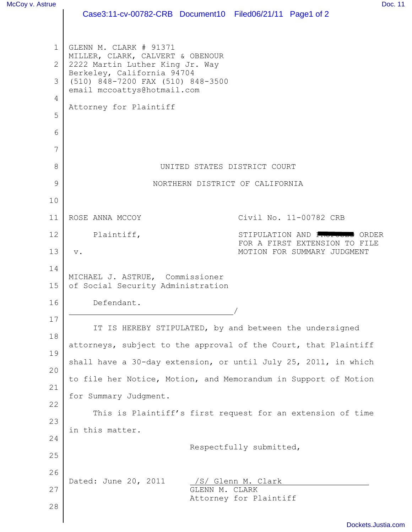|                | Case3:11-cv-00782-CRB Document10 Filed06/21/11 Page1 of 2                                                                                                |                                          |                                                              |                        |  |  |  |  |  |
|----------------|----------------------------------------------------------------------------------------------------------------------------------------------------------|------------------------------------------|--------------------------------------------------------------|------------------------|--|--|--|--|--|
| $\mathbf{1}$   | GLENN M. CLARK # 91371                                                                                                                                   |                                          |                                                              |                        |  |  |  |  |  |
|                | MILLER, CLARK, CALVERT & OBENOUR<br>$\overline{2}$<br>2222 Martin Luther King Jr. Way<br>Berkeley, California 94704<br>(510) 848-7200 FAX (510) 848-3500 |                                          |                                                              |                        |  |  |  |  |  |
| 3              |                                                                                                                                                          |                                          |                                                              |                        |  |  |  |  |  |
| $\overline{4}$ | email mccoattys@hotmail.com<br>Attorney for Plaintiff                                                                                                    |                                          |                                                              |                        |  |  |  |  |  |
| 5              |                                                                                                                                                          |                                          |                                                              |                        |  |  |  |  |  |
| 6              |                                                                                                                                                          |                                          |                                                              |                        |  |  |  |  |  |
| 7              |                                                                                                                                                          |                                          |                                                              |                        |  |  |  |  |  |
| 8              | UNITED STATES DISTRICT COURT                                                                                                                             |                                          |                                                              |                        |  |  |  |  |  |
| 9              | NORTHERN DISTRICT OF CALIFORNIA                                                                                                                          |                                          |                                                              |                        |  |  |  |  |  |
| 10             |                                                                                                                                                          |                                          |                                                              |                        |  |  |  |  |  |
| 11             | ROSE ANNA MCCOY                                                                                                                                          |                                          |                                                              | Civil No. 11-00782 CRB |  |  |  |  |  |
| 12             | Plaintiff,                                                                                                                                               |                                          | STIPULATION AND PROPOSED ORDER                               |                        |  |  |  |  |  |
| 13             | $\mathbf v$ .                                                                                                                                            |                                          | FOR A FIRST EXTENSION TO FILE<br>MOTION FOR SUMMARY JUDGMENT |                        |  |  |  |  |  |
| 14             | MICHAEL J. ASTRUE, Commissioner                                                                                                                          |                                          |                                                              |                        |  |  |  |  |  |
| 15             | of Social Security Administration                                                                                                                        |                                          |                                                              |                        |  |  |  |  |  |
| 16             | Defendant.                                                                                                                                               |                                          |                                                              |                        |  |  |  |  |  |
| 17             | IT IS HEREBY STIPULATED, by and between the undersigned<br>attorneys, subject to the approval of the Court, that Plaintiff                               |                                          |                                                              |                        |  |  |  |  |  |
| 18             |                                                                                                                                                          |                                          |                                                              |                        |  |  |  |  |  |
| 19             | shall have a 30-day extension, or until July 25, 2011, in which                                                                                          |                                          |                                                              |                        |  |  |  |  |  |
| 20             | to file her Notice, Motion, and Memorandum in Support of Motion                                                                                          |                                          |                                                              |                        |  |  |  |  |  |
| 21             | for Summary Judgment.                                                                                                                                    |                                          |                                                              |                        |  |  |  |  |  |
| 22             | This is Plaintiff's first request for an extension of time                                                                                               |                                          |                                                              |                        |  |  |  |  |  |
| 23             | in this matter.                                                                                                                                          |                                          |                                                              |                        |  |  |  |  |  |
| 24             |                                                                                                                                                          |                                          | Respectfully submitted,                                      |                        |  |  |  |  |  |
| 25             |                                                                                                                                                          |                                          |                                                              |                        |  |  |  |  |  |
| 26             | Dated: June 20, 2011                                                                                                                                     | Glenn M. Clark                           |                                                              |                        |  |  |  |  |  |
| 27             |                                                                                                                                                          | GLENN M. CLARK<br>Attorney for Plaintiff |                                                              |                        |  |  |  |  |  |
| 28             |                                                                                                                                                          |                                          |                                                              |                        |  |  |  |  |  |
|                |                                                                                                                                                          |                                          |                                                              |                        |  |  |  |  |  |